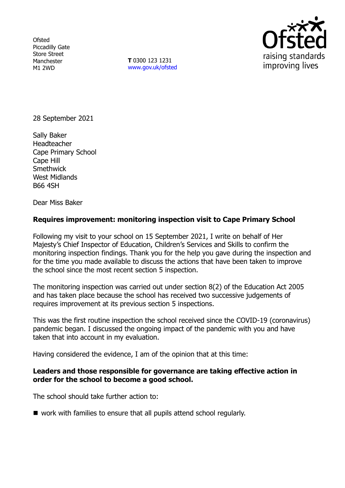**Ofsted** Piccadilly Gate Store Street Manchester M1 2WD

**T** 0300 123 1231 [www.gov.uk/ofsted](http://www.gov.uk/ofsted)



28 September 2021

Sally Baker Headteacher Cape Primary School Cape Hill **Smethwick** West Midlands B66 4SH

Dear Miss Baker

# **Requires improvement: monitoring inspection visit to Cape Primary School**

Following my visit to your school on 15 September 2021, I write on behalf of Her Majesty's Chief Inspector of Education, Children's Services and Skills to confirm the monitoring inspection findings. Thank you for the help you gave during the inspection and for the time you made available to discuss the actions that have been taken to improve the school since the most recent section 5 inspection.

The monitoring inspection was carried out under section 8(2) of the Education Act 2005 and has taken place because the school has received two successive judgements of requires improvement at its previous section 5 inspections.

This was the first routine inspection the school received since the COVID-19 (coronavirus) pandemic began. I discussed the ongoing impact of the pandemic with you and have taken that into account in my evaluation.

Having considered the evidence, I am of the opinion that at this time:

### **Leaders and those responsible for governance are taking effective action in order for the school to become a good school.**

The school should take further action to:

■ work with families to ensure that all pupils attend school regularly.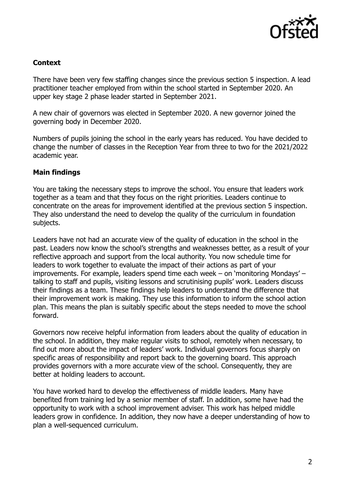

# **Context**

There have been very few staffing changes since the previous section 5 inspection. A lead practitioner teacher employed from within the school started in September 2020. An upper key stage 2 phase leader started in September 2021.

A new chair of governors was elected in September 2020. A new governor joined the governing body in December 2020.

Numbers of pupils joining the school in the early years has reduced. You have decided to change the number of classes in the Reception Year from three to two for the 2021/2022 academic year.

# **Main findings**

You are taking the necessary steps to improve the school. You ensure that leaders work together as a team and that they focus on the right priorities. Leaders continue to concentrate on the areas for improvement identified at the previous section 5 inspection. They also understand the need to develop the quality of the curriculum in foundation subjects.

Leaders have not had an accurate view of the quality of education in the school in the past. Leaders now know the school's strengths and weaknesses better, as a result of your reflective approach and support from the local authority. You now schedule time for leaders to work together to evaluate the impact of their actions as part of your improvements. For example, leaders spend time each week – on 'monitoring Mondays' – talking to staff and pupils, visiting lessons and scrutinising pupils' work. Leaders discuss their findings as a team. These findings help leaders to understand the difference that their improvement work is making. They use this information to inform the school action plan. This means the plan is suitably specific about the steps needed to move the school forward.

Governors now receive helpful information from leaders about the quality of education in the school. In addition, they make regular visits to school, remotely when necessary, to find out more about the impact of leaders' work. Individual governors focus sharply on specific areas of responsibility and report back to the governing board. This approach provides governors with a more accurate view of the school. Consequently, they are better at holding leaders to account.

You have worked hard to develop the effectiveness of middle leaders. Many have benefited from training led by a senior member of staff. In addition, some have had the opportunity to work with a school improvement adviser. This work has helped middle leaders grow in confidence. In addition, they now have a deeper understanding of how to plan a well-sequenced curriculum.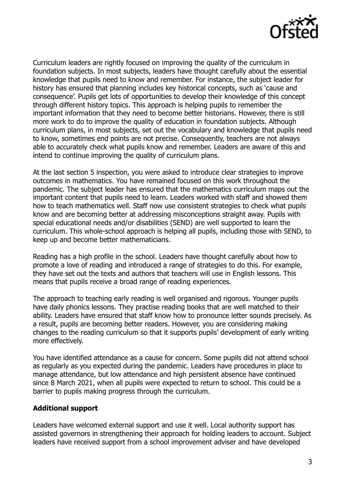

Curriculum leaders are rightly focused on improving the quality of the curriculum in foundation subjects. In most subjects, leaders have thought carefully about the essential knowledge that pupils need to know and remember. For instance, the subject leader for history has ensured that planning includes key historical concepts, such as 'cause and consequence'. Pupils get lots of opportunities to develop their knowledge of this concept through different history topics. This approach is helping pupils to remember the important information that they need to become better historians. However, there is still more work to do to improve the quality of education in foundation subjects. Although curriculum plans, in most subjects, set out the vocabulary and knowledge that pupils need to know, sometimes end points are not precise. Consequently, teachers are not always able to accurately check what pupils know and remember. Leaders are aware of this and intend to continue improving the quality of curriculum plans.

At the last section 5 inspection, you were asked to introduce clear strategies to improve outcomes in mathematics. You have remained focused on this work throughout the pandemic. The subject leader has ensured that the mathematics curriculum maps out the important content that pupils need to learn. Leaders worked with staff and showed them how to teach mathematics well. Staff now use consistent strategies to check what pupils know and are becoming better at addressing misconceptions straight away. Pupils with special educational needs and/or disabilities (SEND) are well supported to learn the curriculum. This whole-school approach is helping all pupils, including those with SEND, to keep up and become better mathematicians.

Reading has a high profile in the school. Leaders have thought carefully about how to promote a love of reading and introduced a range of strategies to do this. For example, they have set out the texts and authors that teachers will use in English lessons. This means that pupils receive a broad range of reading experiences.

The approach to teaching early reading is well organised and rigorous. Younger pupils have daily phonics lessons. They practise reading books that are well matched to their ability. Leaders have ensured that staff know how to pronounce letter sounds precisely. As a result, pupils are becoming better readers. However, you are considering making changes to the reading curriculum so that it supports pupils' development of early writing more effectively.

You have identified attendance as a cause for concern. Some pupils did not attend school as regularly as you expected during the pandemic. Leaders have procedures in place to manage attendance, but low attendance and high persistent absence have continued since 8 March 2021, when all pupils were expected to return to school. This could be a barrier to pupils making progress through the curriculum.

### **Additional support**

Leaders have welcomed external support and use it well. Local authority support has assisted governors in strengthening their approach for holding leaders to account. Subject leaders have received support from a school improvement adviser and have developed